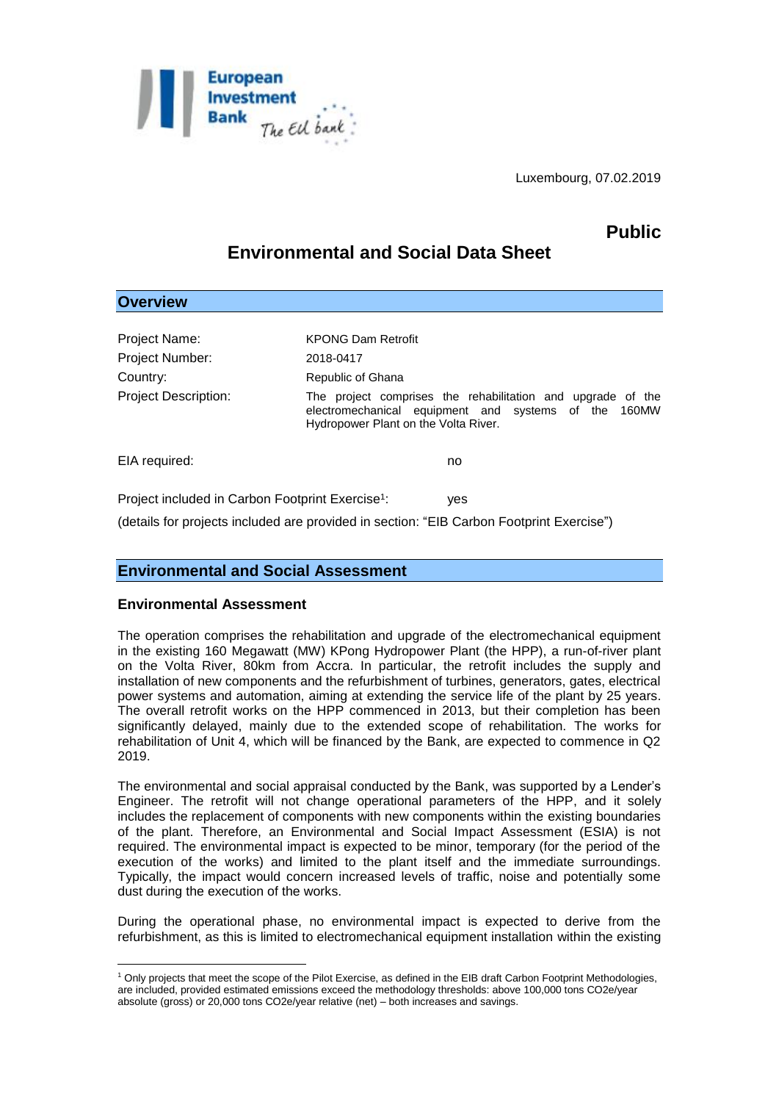

Luxembourg, 07.02.2019

# **Public**

# **Environmental and Social Data Sheet**

| <b>Overview</b>                                              |                                                                                                                                                             |
|--------------------------------------------------------------|-------------------------------------------------------------------------------------------------------------------------------------------------------------|
|                                                              |                                                                                                                                                             |
| <b>Project Name:</b>                                         | <b>KPONG Dam Retrofit</b>                                                                                                                                   |
| <b>Project Number:</b>                                       | 2018-0417                                                                                                                                                   |
| Country:                                                     | Republic of Ghana                                                                                                                                           |
| <b>Project Description:</b>                                  | The project comprises the rehabilitation and upgrade of the<br>electromechanical equipment and systems of the 160MW<br>Hydropower Plant on the Volta River. |
| EIA required:                                                | no                                                                                                                                                          |
| Project included in Carbon Footprint Exercise <sup>1</sup> : | yes                                                                                                                                                         |
|                                                              | (details for projects included are provided in section: "EIB Carbon Footprint Exercise")                                                                    |

## **Environmental and Social Assessment**

#### **Environmental Assessment**

<u>.</u>

The operation comprises the rehabilitation and upgrade of the electromechanical equipment in the existing 160 Megawatt (MW) KPong Hydropower Plant (the HPP), a run-of-river plant on the Volta River, 80km from Accra. In particular, the retrofit includes the supply and installation of new components and the refurbishment of turbines, generators, gates, electrical power systems and automation, aiming at extending the service life of the plant by 25 years. The overall retrofit works on the HPP commenced in 2013, but their completion has been significantly delayed, mainly due to the extended scope of rehabilitation. The works for rehabilitation of Unit 4, which will be financed by the Bank, are expected to commence in Q2 2019.

The environmental and social appraisal conducted by the Bank, was supported by a Lender's Engineer. The retrofit will not change operational parameters of the HPP, and it solely includes the replacement of components with new components within the existing boundaries of the plant. Therefore, an Environmental and Social Impact Assessment (ESIA) is not required. The environmental impact is expected to be minor, temporary (for the period of the execution of the works) and limited to the plant itself and the immediate surroundings. Typically, the impact would concern increased levels of traffic, noise and potentially some dust during the execution of the works.

During the operational phase, no environmental impact is expected to derive from the refurbishment, as this is limited to electromechanical equipment installation within the existing

<sup>1</sup> Only projects that meet the scope of the Pilot Exercise, as defined in the EIB draft Carbon Footprint Methodologies, are included, provided estimated emissions exceed the methodology thresholds: above 100,000 tons CO2e/year absolute (gross) or 20,000 tons CO2e/year relative (net) – both increases and savings.